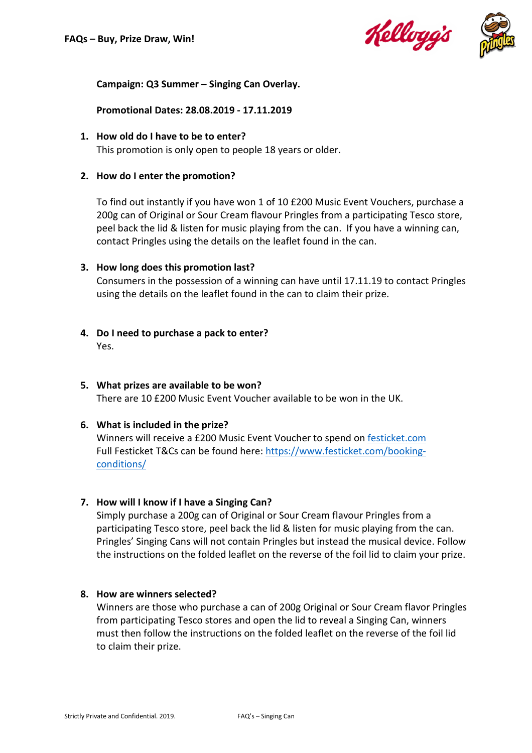



## **Campaign: Q3 Summer – Singing Can Overlay.**

**Promotional Dates: 28.08.2019 - 17.11.2019**

**1. How old do I have to be to enter?** This promotion is only open to people 18 years or older.

#### **2. How do I enter the promotion?**

To find out instantly if you have won 1 of 10 £200 Music Event Vouchers, purchase a 200g can of Original or Sour Cream flavour Pringles from a participating Tesco store, peel back the lid & listen for music playing from the can. If you have a winning can, contact Pringles using the details on the leaflet found in the can.

#### **3. How long does this promotion last?**

Consumers in the possession of a winning can have until 17.11.19 to contact Pringles using the details on the leaflet found in the can to claim their prize.

#### **4. Do I need to purchase a pack to enter?** Yes.

**5. What prizes are available to be won?**  There are 10 £200 Music Event Voucher available to be won in the UK.

## **6. What is included in the prize?**

Winners will receive a £200 Music Event Voucher to spend on festicket.com Full Festicket T&Cs can be found here: https://www.festicket.com/bookingconditions/

## **7. How will I know if I have a Singing Can?**

Simply purchase a 200g can of Original or Sour Cream flavour Pringles from a participating Tesco store, peel back the lid & listen for music playing from the can. Pringles' Singing Cans will not contain Pringles but instead the musical device. Follow the instructions on the folded leaflet on the reverse of the foil lid to claim your prize.

## **8. How are winners selected?**

Winners are those who purchase a can of 200g Original or Sour Cream flavor Pringles from participating Tesco stores and open the lid to reveal a Singing Can, winners must then follow the instructions on the folded leaflet on the reverse of the foil lid to claim their prize.